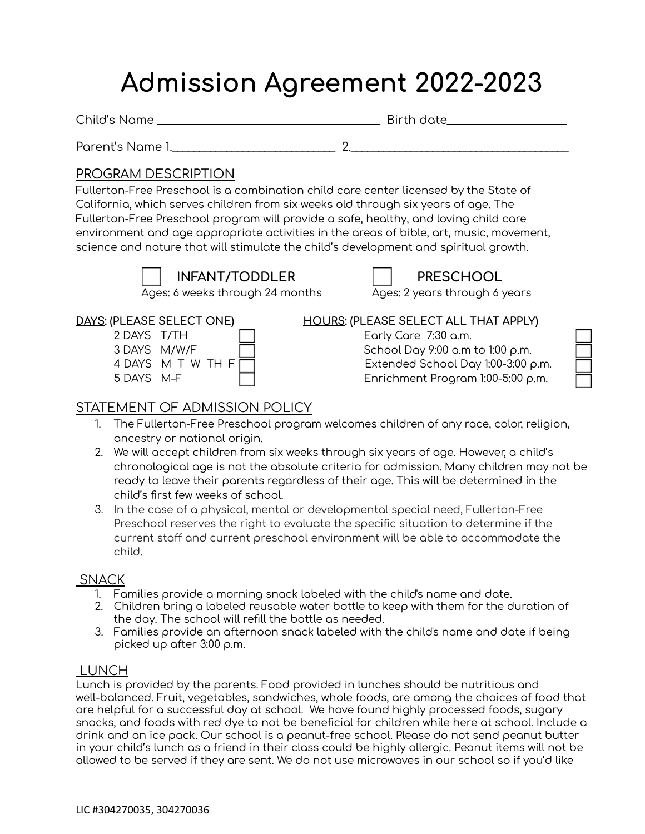# **Admission Agreement 2022-2023**

Child's Name \_\_\_\_\_\_\_\_\_\_\_\_\_\_\_\_\_\_\_\_\_\_\_\_\_\_\_\_\_\_\_\_\_\_\_\_\_\_\_\_\_ Birth date\_\_\_\_\_\_\_\_\_\_\_\_\_\_\_\_\_\_\_\_\_\_

Parent's Name 1.\_\_\_\_\_\_\_\_\_\_\_\_\_\_\_\_\_\_\_\_\_\_\_\_\_\_\_\_\_\_ 2.\_\_\_\_\_\_\_\_\_\_\_\_\_\_\_\_\_\_\_\_\_\_\_\_\_\_\_\_\_\_\_\_\_\_\_\_\_\_\_\_

# PROGRAM DESCRIPTION

Fullerton-Free Preschool is a combination child care center licensed by the State of California, which serves children from six weeks old through six years of age. The Fullerton-Free Preschool program will provide a safe, healthy, and loving child care environment and age appropriate activities in the areas of bible, art, music, movement, science and nature that will stimulate the child's development and spiritual growth.

**INFANT/TODDLER PRESCHOOL**

Ages: 6 weeks through 24 months Ages: 2 years through 6 years



| DAYS: (PLEASE SELECT ONE) |                     |
|---------------------------|---------------------|
| 2 DAYS T/TH               |                     |
| 3 DAYS M/W/F              |                     |
|                           | 4 DAYS M T W TH F [ |
| 5 DAYS M-F                |                     |

| <u>DAYS</u> : (PLEASE SELECT ONE) | HOURS: (PLEASE SELECT ALL THAT APPLY) |
|-----------------------------------|---------------------------------------|
| 2 DAYS T/TH                       | Early Care 7:30 a.m.                  |
| 3 DAYS M/W/F                      | School Day 9:00 a.m to 1:00 p.m.      |
| 4 DAYS M T W TH F $\Box$          | Extended School Day 1:00-3:00 p.m.    |
| 5 DAYS M-F                        | Enrichment Program 1:00-5:00 p.m.     |

# STATEMENT OF ADMISSION POLICY

- 1. The Fullerton-Free Preschool program welcomes children of any race, color, religion, ancestry or national origin.
- 2. We will accept children from six weeks through six years of age. However, a child's chronological age is not the absolute criteria for admission. Many children may not be ready to leave their parents regardless of their age. This will be determined in the child's first few weeks of school.
- 3. In the case of a physical, mental or developmental special need, Fullerton-Free Preschool reserves the right to evaluate the specific situation to determine if the current staff and current preschool environment will be able to accommodate the child.

## SNACK

- 1. Families provide a morning snack labeled with the child's name and date.
- 2. Children bring a labeled reusable water bottle to keep with them for the duration of the day. The school will refill the bottle as needed.
- 3. Families provide an afternoon snack labeled with the child's name and date if being picked up after 3:00 p.m.

## LUNCH

Lunch is provided by the parents. Food provided in lunches should be nutritious and well-balanced. Fruit, vegetables, sandwiches, whole foods, are among the choices of food that are helpful for a successful day at school. We have found highly processed foods, sugary snacks, and foods with red dye to not be beneficial for children while here at school. Include a drink and an ice pack. Our school is a peanut-free school. Please do not send peanut butter in your child's lunch as a friend in their class could be highly allergic. Peanut items will not be allowed to be served if they are sent. We do not use microwaves in our school so if you'd like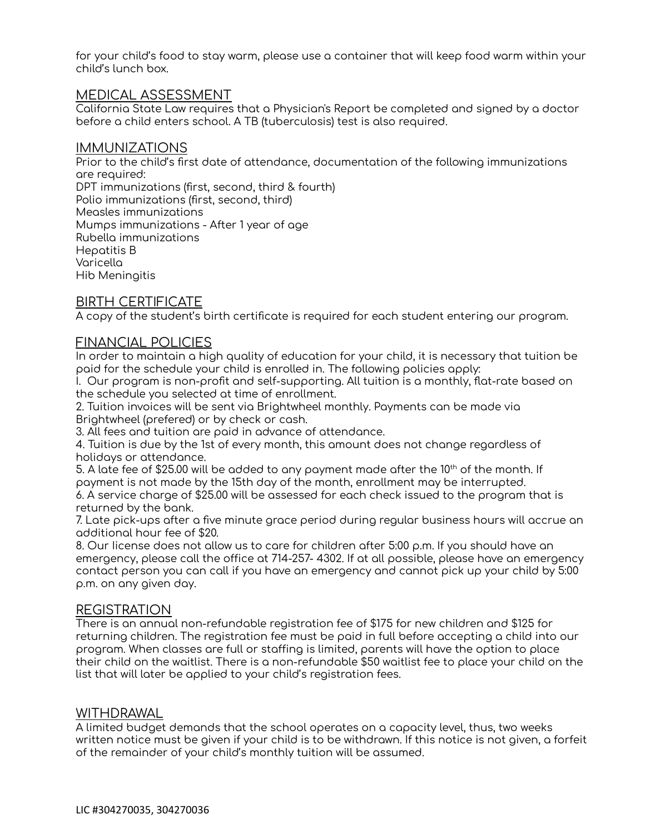for your child's food to stay warm, please use a container that will keep food warm within your child's lunch box.

#### MEDICAL ASSESSMENT

California State Law requires that a Physician's Report be completed and signed by a doctor before a child enters school. A TB (tuberculosis) test is also required.

#### IMMUNIZATIONS

Prior to the child's first date of attendance, documentation of the following immunizations are required: DPT immunizations (first, second, third & fourth) Polio immunizations (first, second, third) Measles immunizations Mumps immunizations - After 1 year of age Rubella immunizations Hepatitis B Varicella Hib Meningitis

#### BIRTH CERTIFICATE

A copy of the student's birth certificate is required for each student entering our program.

#### FINANCIAL POLICIES

In order to maintain a high quality of education for your child, it is necessary that tuition be paid for the schedule your child is enrolled in. The following policies apply:

I. Our program is non-profit and self-supporting. All tuition is a monthly, flat-rate based on the schedule you selected at time of enrollment.

2. Tuition invoices will be sent via Brightwheel monthly. Payments can be made via Brightwheel (prefered) or by check or cash.

3. All fees and tuition are paid in advance of attendance.

4. Tuition is due by the 1st of every month, this amount does not change regardless of holidays or attendance.

5. A late fee of \$25.00 will be added to any payment made after the 10<sup>th</sup> of the month. If payment is not made by the 15th day of the month, enrollment may be interrupted.

6. A service charge of \$25.00 will be assessed for each check issued to the program that is returned by the bank.

7. Late pick-ups after a five minute grace period during regular business hours will accrue an additional hour fee of \$20.

8. Our Iicense does not allow us to care for children after 5:00 p.m. If you should have an emergency, please call the office at 714-257- 4302. If at all possible, please have an emergency contact person you can call if you have an emergency and cannot pick up your child by 5:00 p.m. on any given day.

#### REGISTRATION

There is an annual non-refundable registration fee of \$175 for new children and \$125 for returning children. The registration fee must be paid in full before accepting a child into our program. When classes are full or staffing is limited, parents will have the option to place their child on the waitlist. There is a non-refundable \$50 waitlist fee to place your child on the list that will later be applied to your child's registration fees.

#### WITHDRAWAL

A limited budget demands that the school operates on a capacity level, thus, two weeks written notice must be given if your child is to be withdrawn. If this notice is not given, a forfeit of the remainder of your child's monthly tuition will be assumed.